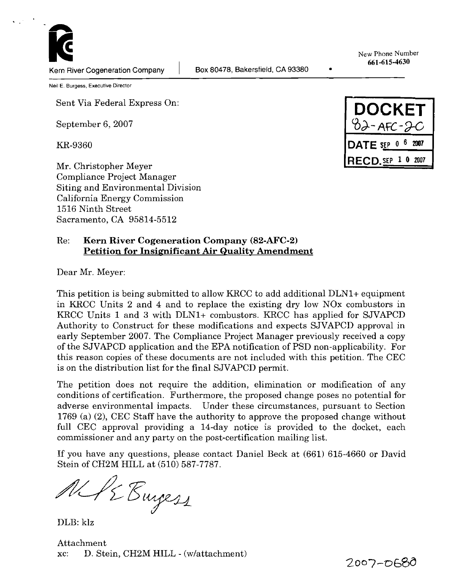New Phone Number 661-615-4630

 $\bullet$ 

**Neil E. Burgess, Executive Director** 

Sent Via Federal Express On:

September 6,2007

**KR-9360** 

Mr. Christopher Meyer Compliance Project Manager Siting and Environmental Division California Energy Commission 1516 Ninth Street Sacramento, CA 95814-5512

**DOCKET**  $32 - AFC - 2C$ DATE SEP  $0^{-6}$  2007 **RECD.SEP 1 0 2007** 

#### Re: **Kern River Cogeneration Company (82-AFC-2) Petition for Insignificant Air Qualitv Amendment**

Dear Mr. Meyer:

This petition is being submitted to allow KRCC to add additional DLN1+ equipment in KRCC Units 2 and 4 and to replace the existing dry low NOx combustors in KRCC Units 1 and *3* with DLNl+ combustors. KRCC has applied for SJVAPCD Authority to Construct for these modifications and expects SJVAPCD approval in early September 2007. The Compliance Project Manager previously received a copy of the SJVAPCD application and the EPA notification of PSD non-applicability. For this reason copies of these documents are not included with this petition. The CEC is on the distribution list for the final SJVAPCD permit.

The petition does not require the addition, elimination or modification of any conditions of certification. Furthermore, the proposed change poses no potential for adverse environmental impacts. Under these circumstances, pursuant to Section 1769 (a) (2), CEC Staff have the authority to approve the proposed change without full CEC approval providing a 14-day notice is provided to the docket, each commissioner and any party on the post-certification mailing list.

If you have any questions, please contact Daniel Beck at (661) 615-4660 or David Stein of CH2M HILL at (510) 587-7787.

AL PE Empez

DLB: klz

Attachment xc: D. Stein, CH2M HILL - (wlattachment)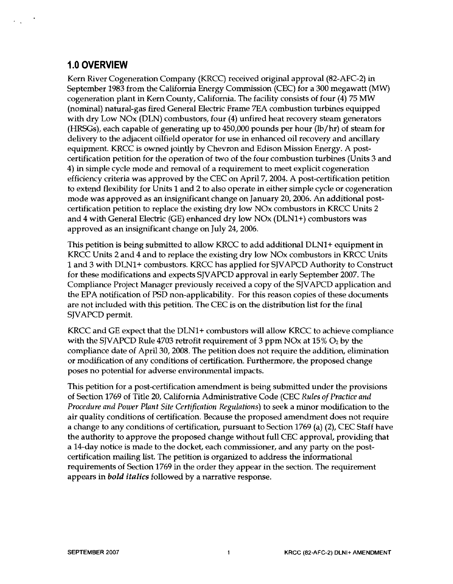## **1.0 OVERVIEW**

Kern River Cogeneration Company (KRCC) received original approval (82-AFC-2) in September 1983 from the California Energy Commission (CEC) for a 300 megawatt (MW) cogeneration plant in Kern County, California. The facility consists of four (4) 75 MW (nominal) natural-gas fired General Electric Frame 7EA combustion turbines equipped with dry Low NOx (DLN) combustors, four (4) unfired heat recovery steam generators (HRSGs), each capable of generating up to 450,000 pounds per hour (lb/hr) of steam for delivery to the adjacent oilfield operator for use in enhanced oil recovery and ancillary equipment. KRCC is owned jointly by Chevron and Edison Mission Energy. A postcertification petition for the operation of two of the four combustion turbines (Units 3 and 4) in simple cycle mode and removal of a requirement to meet explicit cogeneration efficiency criteria was approved by the CEC on April 7,2004. A post-certification petition to extend flexibility for Units 1 and 2 to also operate in either simple cycle or cogeneration mode was approved as an insigruficant change on January 20,2006. An additional postcertification petition to replace the existing dry low NOx combustors in KRCC Units 2 and 4 with General Electric (GE) enhanced dry low NOx (DLNl+) combustors was approved as an insigruficant change on July 24,2006.

This petition is being submitted to allow KRCC to add additional DLNl+ equipment in KRCC Units 2 and 4 and to replace the existing dry low NOx combustors in KRCC Units 1 and 3 with DLN1+ combustors. KRCC has applied for SJVAPCD Authority to Construct for these modifications and expects SJVAPCD approval in early September 2007. The Compliance Project Manager previously received a copy of the SJVAPCD application and the EPA notification of PSD non-applicability. For this reason copies of these documents are not included with this petition. The CEC is on the distribution list for the final SJVAPCD permit.

KRCC and GE expect that the DLN1+ combustors will allow KRCC to achieve compliance with the SJVAPCD Rule 4703 retrofit requirement of 3 ppm NOx at  $15\%$  O<sub>2</sub> by the compliance date of April 30,2008. The petition does not require the addition, elimination or modification of any conditions of certification. Furthermore, the proposed change poses no potential for adverse environmental impacts.

This petition for a post-certification amendment is being submitted under the provisions of Section 1769 of Title 20, California Administrative Code (CEC *Rules of Practice and Procedure and Power Plant Site Certification Regulations)* to seek a minor modification to the air quality conditions of certification. Because the proposed amendment does not require a change to any conditions of certification, pursuant to Section 1769 (a) (2), CEC Staff have the authority to approve the proposed change without full CEC approval, providing that a 14-day notice is made to the docket, each commissioner, and any party on the postcertification mailing list. The petition is organized to address the informational requirements of Section 1769 in the order they appear in the section. The requirement appears in *bold italics* followed by a narrative response.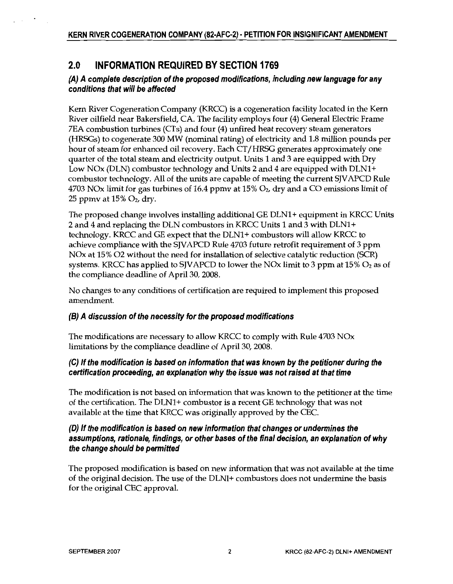#### $2.0$ **INFORMATION REQUIRED BY SECTION 1769**

### (A) A complete description of the proposed modifications, including new language for any conditions that will be affected

Kern River Cogeneration Company (KRCC) is a cogeneration facility located in the Kern River oilfield near Bakersfield, CA. The facility employs four (4) General Electric Frame 7EA combustion turbines (CTs) and four (4) unfired heat recovery steam generators (HRSGs) to cogenerate 300 MW (nominal rating) of electricity and 1.8 million pounds per hour of steam for enhanced oil recovery. Each CT/HRSG generates approximately one quarter of the total steam and electricity output. Units 1 and 3 are equipped with Dry Low NOx (DLN) combustor technology and Units 2 and 4 are equipped with DLN1+ combustor technology. All of the units are capable of meeting the current SJVAPCD Rule 4703 NOx limit for gas turbines of 16.4 ppmy at 15%  $O_2$ , dry and a CO emissions limit of 25 ppmv at  $15\%$   $O_2$ , dry.

The proposed change involves installing additional GE DLN1+ equipment in KRCC Units 2 and 4 and replacing the DLN combustors in KRCC Units 1 and 3 with DLN1+ technology. KRCC and GE expect that the DLN1+ combustors will allow KRCC to achieve compliance with the SJVAPCD Rule 4703 future retrofit requirement of 3 ppm NOx at 15% O2 without the need for installation of selective catalytic reduction (SCR) systems. KRCC has applied to SJVAPCD to lower the NOx limit to 3 ppm at  $15\%$  O<sub>2</sub> as of the compliance deadline of April 30, 2008.

No changes to any conditions of certification are required to implement this proposed amendment.

#### (B) A discussion of the necessity for the proposed modifications

The modifications are necessary to allow KRCC to comply with Rule 4703 NOx limitations by the compliance deadline of April 30, 2008.

#### (C) If the modification is based on information that was known by the petitioner during the certification proceeding, an explanation why the issue was not raised at that time

The modification is not based on information that was known to the petitioner at the time of the certification. The DLN1+ combustor is a recent GE technology that was not available at the time that KRCC was originally approved by the CEC.

#### (D) If the modification is based on new information that changes or undermines the assumptions, rationale, findings, or other bases of the final decision, an explanation of why the change should be permitted

The proposed modification is based on new information that was not available at the time of the original decision. The use of the DLNI+ combustors does not undermine the basis for the original CEC approval.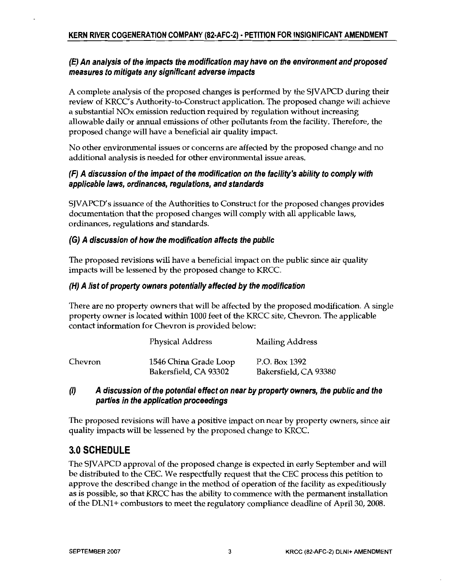### (E) An analysis of the impacts the modification may have on the environment and proposed measures to mitigate any significant adverse impacts

A complete analysis of the proposed changes is performed by the SJVAPCD during their review of KRCC's Authority-to-Construct application. The proposed change will achieve a substantial NOx emission reduction required by regulation without increasing allowable daily or annual emissions of other pollutants from the facility. Therefore, the proposed change will have a beneficial air quality impact.

No other environmental issues or concerns are affected by the proposed change and no additional analysis is needed for other environmental issue areas.

### (F) A discussion of the impact of the modification on the facility's ability to comply with applicable laws, ordinances, regulations, and standards

SJVAPCD's issuance of the Authorities to Construct for the proposed changes provides documentation that the proposed changes will comply with all applicable laws, ordinances, regulations and standards.

#### (G) A discussion of how the modification affects the public

The proposed revisions will have a beneficial impact on the public since air quality impacts will be lessened by the proposed change to KRCC.

#### (H) A list of property owners potentially affected by the modification

There are no property owners that will be affected by the proposed modification. A single property owner is located within 1000 feet of the KRCC site, Chevron. The applicable contact information for Chevron is provided below:

|         | <b>Physical Address</b>                        | Mailing Address                        |
|---------|------------------------------------------------|----------------------------------------|
| Chevron | 1546 China Grade Loop<br>Bakersfield, CA 93302 | P.O. Box 1392<br>Bakersfield, CA 93380 |

#### $\langle l \rangle$ A discussion of the potential effect on near by property owners, the public and the parties in the application proceedings

The proposed revisions will have a positive impact on near by property owners, since air quality impacts will be lessened by the proposed change to KRCC.

# 3.0 SCHEDULE

The SJVAPCD approval of the proposed change is expected in early September and will be distributed to the CEC. We respectfully request that the CEC process this petition to approve the described change in the method of operation of the facility as expeditiously as is possible, so that KRCC has the ability to commence with the permanent installation of the DLN1+ combustors to meet the regulatory compliance deadline of April 30, 2008.